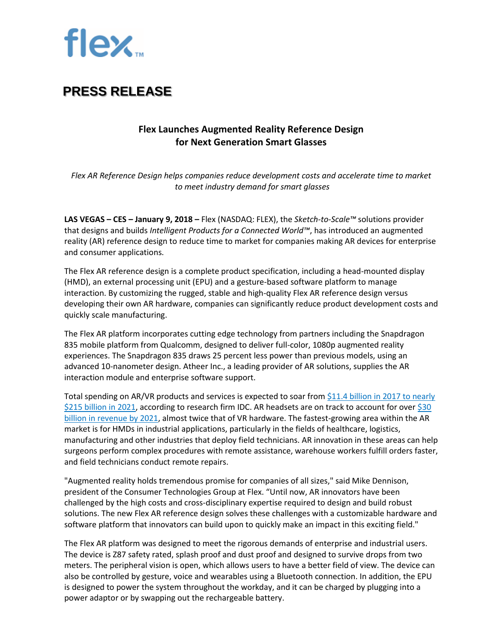

### **PRESS RELEASE**

### **Flex Launches Augmented Reality Reference Design for Next Generation Smart Glasses**

*Flex AR Reference Design helps companies reduce development costs and accelerate time to market to meet industry demand for smart glasses*

**LAS VEGAS – CES – January 9, 2018 –** Flex (NASDAQ: FLEX), the *Sketch-to-Scale™* solutions provider that designs and builds *Intelligent Products for a Connected World™*, has introduced an augmented reality (AR) reference design to reduce time to market for companies making AR devices for enterprise and consumer applications.

The Flex AR reference design is a complete product specification, including a head-mounted display (HMD), an external processing unit (EPU) and a gesture-based software platform to manage interaction. By customizing the rugged, stable and high-quality Flex AR reference design versus developing their own AR hardware, companies can significantly reduce product development costs and quickly scale manufacturing.

The Flex AR platform incorporates cutting edge technology from partners including the Snapdragon 835 mobile platform from Qualcomm, designed to deliver full-color, 1080p augmented reality experiences. The Snapdragon 835 draws 25 percent less power than previous models, using an advanced 10-nanometer design. Atheer Inc., a leading provider of AR solutions, supplies the AR interaction module and enterprise software support.

Total spending on AR/VR products and services is expected to soar from [\\$11.4 billion in 2017 to nearly](https://www.idc.com/getdoc.jsp?containerId=prUS42959717) [\\$215 billion in 2021,](https://www.idc.com/getdoc.jsp?containerId=prUS42959717) according to research firm IDC. AR headsets are on track to account for over \$30 [billion in revenue by 2021,](https://www.businesswire.com/news/home/20170928005156/en/Virtual-Reality-Headsets-Expected-Drive-Near-Term-Growth) almost twice that of VR hardware. The fastest-growing area within the AR market is for HMDs in industrial applications, particularly in the fields of healthcare, logistics, manufacturing and other industries that deploy field technicians. AR innovation in these areas can help surgeons perform complex procedures with remote assistance, warehouse workers fulfill orders faster, and field technicians conduct remote repairs.

"Augmented reality holds tremendous promise for companies of all sizes," said Mike Dennison, president of the Consumer Technologies Group at Flex. "Until now, AR innovators have been challenged by the high costs and cross-disciplinary expertise required to design and build robust solutions. The new Flex AR reference design solves these challenges with a customizable hardware and software platform that innovators can build upon to quickly make an impact in this exciting field."

The Flex AR platform was designed to meet the rigorous demands of enterprise and industrial users. The device is Z87 safety rated, splash proof and dust proof and designed to survive drops from two meters. The peripheral vision is open, which allows users to have a better field of view. The device can also be controlled by gesture, voice and wearables using a Bluetooth connection. In addition, the EPU is designed to power the system throughout the workday, and it can be charged by plugging into a power adaptor or by swapping out the rechargeable battery.